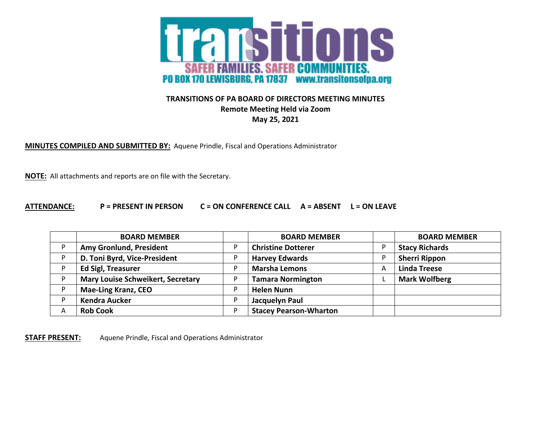

## **TRANSITIONS OF PA BOARD OF DIRECTORS MEETING MINUTES Remote Meeting Held via Zoom May 25, 2021**

**MINUTES COMPILED AND SUBMITTED BY:** Aquene Prindle, Fiscal and Operations Administrator

**NOTE:** All attachments and reports are on file with the Secretary.

## **ATTENDANCE: P = PRESENT IN PERSON C = ON CONFERENCE CALL A = ABSENT L = ON LEAVE**

|   | <b>BOARD MEMBER</b>                      |    | <b>BOARD MEMBER</b>           |   | <b>BOARD MEMBER</b>   |
|---|------------------------------------------|----|-------------------------------|---|-----------------------|
|   | Amy Gronlund, President                  | D  | <b>Christine Dotterer</b>     |   | <b>Stacy Richards</b> |
|   | D. Toni Byrd, Vice-President             |    | <b>Harvey Edwards</b>         |   | <b>Sherri Rippon</b>  |
|   | <b>Ed Sigl, Treasurer</b>                | D  | <b>Marsha Lemons</b>          | Α | <b>Linda Treese</b>   |
|   | <b>Mary Louise Schweikert, Secretary</b> |    | <b>Tamara Normington</b>      |   | <b>Mark Wolfberg</b>  |
|   | <b>Mae-Ling Kranz, CEO</b>               | D  | <b>Helen Nunn</b>             |   |                       |
|   | <b>Kendra Aucker</b>                     | D  | Jacquelyn Paul                |   |                       |
| Α | <b>Rob Cook</b>                          | D. | <b>Stacey Pearson-Wharton</b> |   |                       |

**STAFF PRESENT:** Aquene Prindle, Fiscal and Operations Administrator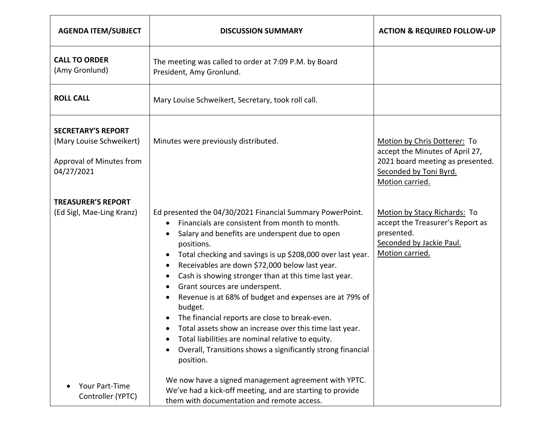| <b>AGENDA ITEM/SUBJECT</b>                                                                      | <b>DISCUSSION SUMMARY</b>                                                                                                                                                                                                                                                                                                                                                                                                                                                                                                                                                                                                                                                                                                                                                                                                     | <b>ACTION &amp; REQUIRED FOLLOW-UP</b>                                                                                                           |
|-------------------------------------------------------------------------------------------------|-------------------------------------------------------------------------------------------------------------------------------------------------------------------------------------------------------------------------------------------------------------------------------------------------------------------------------------------------------------------------------------------------------------------------------------------------------------------------------------------------------------------------------------------------------------------------------------------------------------------------------------------------------------------------------------------------------------------------------------------------------------------------------------------------------------------------------|--------------------------------------------------------------------------------------------------------------------------------------------------|
| <b>CALL TO ORDER</b><br>(Amy Gronlund)                                                          | The meeting was called to order at 7:09 P.M. by Board<br>President, Amy Gronlund.                                                                                                                                                                                                                                                                                                                                                                                                                                                                                                                                                                                                                                                                                                                                             |                                                                                                                                                  |
| <b>ROLL CALL</b>                                                                                | Mary Louise Schweikert, Secretary, took roll call.                                                                                                                                                                                                                                                                                                                                                                                                                                                                                                                                                                                                                                                                                                                                                                            |                                                                                                                                                  |
| <b>SECRETARY'S REPORT</b><br>(Mary Louise Schweikert)<br>Approval of Minutes from<br>04/27/2021 | Minutes were previously distributed.                                                                                                                                                                                                                                                                                                                                                                                                                                                                                                                                                                                                                                                                                                                                                                                          | Motion by Chris Dotterer: To<br>accept the Minutes of April 27,<br>2021 board meeting as presented.<br>Seconded by Toni Byrd.<br>Motion carried. |
| <b>TREASURER'S REPORT</b><br>(Ed Sigl, Mae-Ling Kranz)                                          | Ed presented the 04/30/2021 Financial Summary PowerPoint.<br>Financials are consistent from month to month.<br>$\bullet$<br>Salary and benefits are underspent due to open<br>$\bullet$<br>positions.<br>Total checking and savings is up \$208,000 over last year.<br>$\bullet$<br>Receivables are down \$72,000 below last year.<br>$\bullet$<br>Cash is showing stronger than at this time last year.<br>$\bullet$<br>Grant sources are underspent.<br>$\bullet$<br>Revenue is at 68% of budget and expenses are at 79% of<br>$\bullet$<br>budget.<br>The financial reports are close to break-even.<br>Total assets show an increase over this time last year.<br>Total liabilities are nominal relative to equity.<br>$\bullet$<br>Overall, Transitions shows a significantly strong financial<br>$\bullet$<br>position. | Motion by Stacy Richards: To<br>accept the Treasurer's Report as<br>presented.<br>Seconded by Jackie Paul.<br>Motion carried.                    |
| Your Part-Time<br>Controller (YPTC)                                                             | We now have a signed management agreement with YPTC.<br>We've had a kick-off meeting, and are starting to provide<br>them with documentation and remote access.                                                                                                                                                                                                                                                                                                                                                                                                                                                                                                                                                                                                                                                               |                                                                                                                                                  |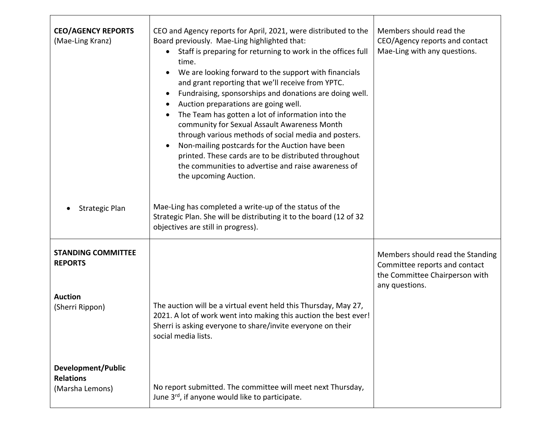| <b>CEO/AGENCY REPORTS</b><br>(Mae-Ling Kranz)                                    | CEO and Agency reports for April, 2021, were distributed to the<br>Board previously. Mae-Ling highlighted that:<br>Staff is preparing for returning to work in the offices full<br>$\bullet$<br>time.<br>We are looking forward to the support with financials<br>and grant reporting that we'll receive from YPTC.<br>Fundraising, sponsorships and donations are doing well.<br>$\bullet$<br>Auction preparations are going well.<br>$\bullet$<br>The Team has gotten a lot of information into the<br>$\bullet$<br>community for Sexual Assault Awareness Month<br>through various methods of social media and posters.<br>Non-mailing postcards for the Auction have been<br>$\bullet$<br>printed. These cards are to be distributed throughout<br>the communities to advertise and raise awareness of<br>the upcoming Auction. | Members should read the<br>CEO/Agency reports and contact<br>Mae-Ling with any questions.                             |
|----------------------------------------------------------------------------------|-------------------------------------------------------------------------------------------------------------------------------------------------------------------------------------------------------------------------------------------------------------------------------------------------------------------------------------------------------------------------------------------------------------------------------------------------------------------------------------------------------------------------------------------------------------------------------------------------------------------------------------------------------------------------------------------------------------------------------------------------------------------------------------------------------------------------------------|-----------------------------------------------------------------------------------------------------------------------|
| <b>Strategic Plan</b>                                                            | Mae-Ling has completed a write-up of the status of the<br>Strategic Plan. She will be distributing it to the board (12 of 32<br>objectives are still in progress).                                                                                                                                                                                                                                                                                                                                                                                                                                                                                                                                                                                                                                                                  |                                                                                                                       |
| <b>STANDING COMMITTEE</b><br><b>REPORTS</b><br><b>Auction</b><br>(Sherri Rippon) | The auction will be a virtual event held this Thursday, May 27,<br>2021. A lot of work went into making this auction the best ever!<br>Sherri is asking everyone to share/invite everyone on their<br>social media lists.                                                                                                                                                                                                                                                                                                                                                                                                                                                                                                                                                                                                           | Members should read the Standing<br>Committee reports and contact<br>the Committee Chairperson with<br>any questions. |
| <b>Development/Public</b><br><b>Relations</b><br>(Marsha Lemons)                 | No report submitted. The committee will meet next Thursday,<br>June 3rd, if anyone would like to participate.                                                                                                                                                                                                                                                                                                                                                                                                                                                                                                                                                                                                                                                                                                                       |                                                                                                                       |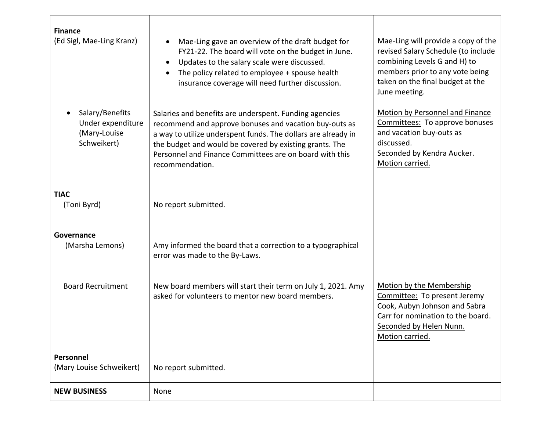| <b>Finance</b><br>(Ed Sigl, Mae-Ling Kranz)                         | Mae-Ling gave an overview of the draft budget for<br>$\bullet$<br>FY21-22. The board will vote on the budget in June.<br>Updates to the salary scale were discussed.<br>$\bullet$<br>The policy related to employee + spouse health<br>insurance coverage will need further discussion.                                    | Mae-Ling will provide a copy of the<br>revised Salary Schedule (to include<br>combining Levels G and H) to<br>members prior to any vote being<br>taken on the final budget at the<br>June meeting. |
|---------------------------------------------------------------------|----------------------------------------------------------------------------------------------------------------------------------------------------------------------------------------------------------------------------------------------------------------------------------------------------------------------------|----------------------------------------------------------------------------------------------------------------------------------------------------------------------------------------------------|
| Salary/Benefits<br>Under expenditure<br>(Mary-Louise<br>Schweikert) | Salaries and benefits are underspent. Funding agencies<br>recommend and approve bonuses and vacation buy-outs as<br>a way to utilize underspent funds. The dollars are already in<br>the budget and would be covered by existing grants. The<br>Personnel and Finance Committees are on board with this<br>recommendation. | Motion by Personnel and Finance<br>Committees: To approve bonuses<br>and vacation buy-outs as<br>discussed.<br>Seconded by Kendra Aucker.<br>Motion carried.                                       |
| <b>TIAC</b><br>(Toni Byrd)                                          | No report submitted.                                                                                                                                                                                                                                                                                                       |                                                                                                                                                                                                    |
| Governance<br>(Marsha Lemons)                                       | Amy informed the board that a correction to a typographical<br>error was made to the By-Laws.                                                                                                                                                                                                                              |                                                                                                                                                                                                    |
| <b>Board Recruitment</b>                                            | New board members will start their term on July 1, 2021. Amy<br>asked for volunteers to mentor new board members.                                                                                                                                                                                                          | Motion by the Membership<br>Committee: To present Jeremy<br>Cook, Aubyn Johnson and Sabra<br>Carr for nomination to the board.<br>Seconded by Helen Nunn.<br>Motion carried.                       |
| Personnel<br>(Mary Louise Schweikert)                               | No report submitted.                                                                                                                                                                                                                                                                                                       |                                                                                                                                                                                                    |
| <b>NEW BUSINESS</b>                                                 | None                                                                                                                                                                                                                                                                                                                       |                                                                                                                                                                                                    |